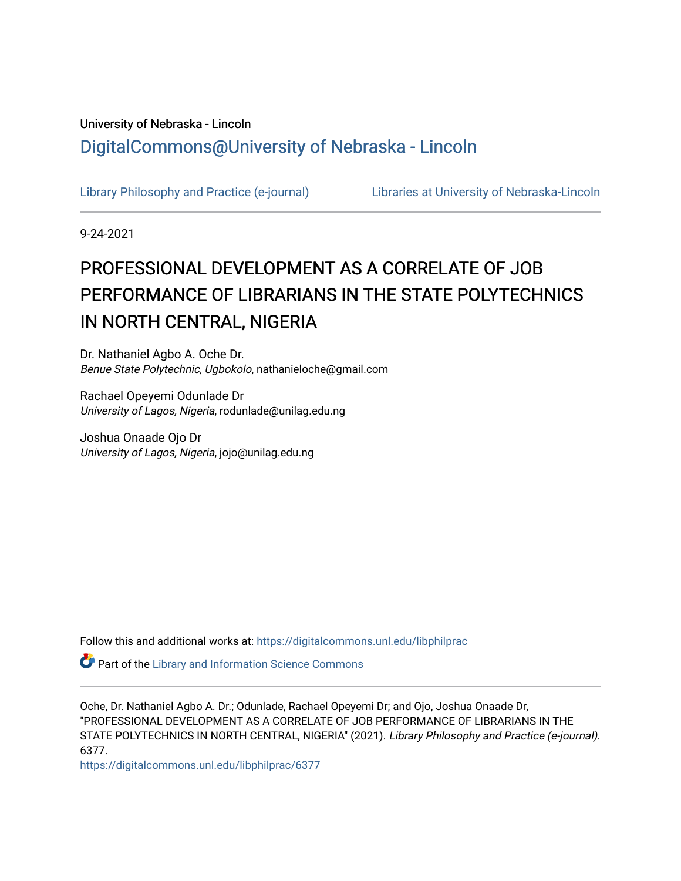# University of Nebraska - Lincoln [DigitalCommons@University of Nebraska - Lincoln](https://digitalcommons.unl.edu/)

[Library Philosophy and Practice \(e-journal\)](https://digitalcommons.unl.edu/libphilprac) [Libraries at University of Nebraska-Lincoln](https://digitalcommons.unl.edu/libraries) 

9-24-2021

# PROFESSIONAL DEVELOPMENT AS A CORRELATE OF JOB PERFORMANCE OF LIBRARIANS IN THE STATE POLYTECHNICS IN NORTH CENTRAL, NIGERIA

Dr. Nathaniel Agbo A. Oche Dr. Benue State Polytechnic, Ugbokolo, nathanieloche@gmail.com

Rachael Opeyemi Odunlade Dr University of Lagos, Nigeria, rodunlade@unilag.edu.ng

Joshua Onaade Ojo Dr University of Lagos, Nigeria, jojo@unilag.edu.ng

Follow this and additional works at: [https://digitalcommons.unl.edu/libphilprac](https://digitalcommons.unl.edu/libphilprac?utm_source=digitalcommons.unl.edu%2Flibphilprac%2F6377&utm_medium=PDF&utm_campaign=PDFCoverPages) 

**Part of the Library and Information Science Commons** 

Oche, Dr. Nathaniel Agbo A. Dr.; Odunlade, Rachael Opeyemi Dr; and Ojo, Joshua Onaade Dr, "PROFESSIONAL DEVELOPMENT AS A CORRELATE OF JOB PERFORMANCE OF LIBRARIANS IN THE STATE POLYTECHNICS IN NORTH CENTRAL, NIGERIA" (2021). Library Philosophy and Practice (e-journal). 6377.

[https://digitalcommons.unl.edu/libphilprac/6377](https://digitalcommons.unl.edu/libphilprac/6377?utm_source=digitalcommons.unl.edu%2Flibphilprac%2F6377&utm_medium=PDF&utm_campaign=PDFCoverPages)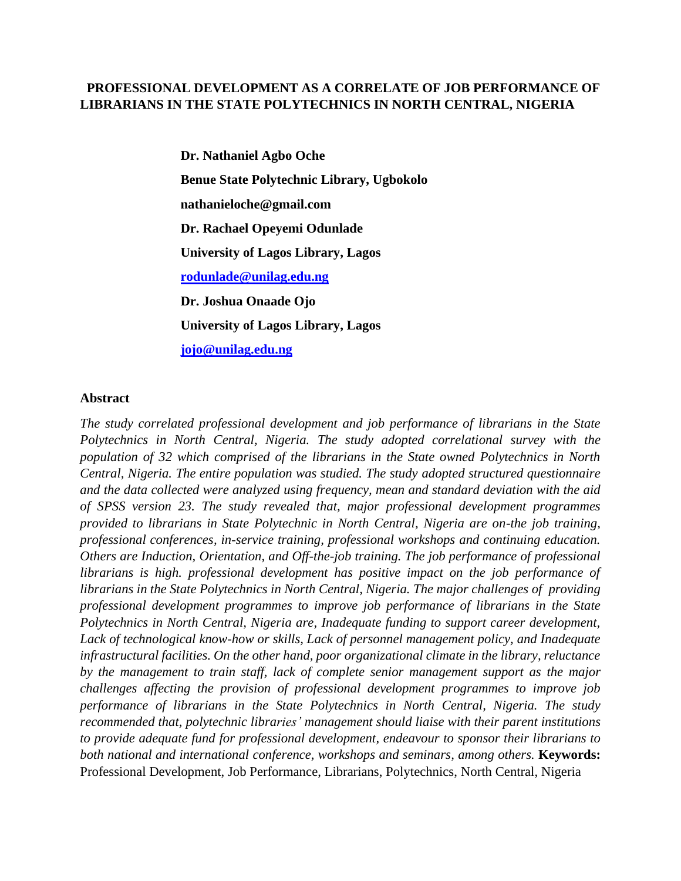# **PROFESSIONAL DEVELOPMENT AS A CORRELATE OF JOB PERFORMANCE OF LIBRARIANS IN THE STATE POLYTECHNICS IN NORTH CENTRAL, NIGERIA**

**Dr. Nathaniel Agbo Oche Benue State Polytechnic Library, Ugbokolo nathanieloche@gmail.com Dr. Rachael Opeyemi Odunlade University of Lagos Library, Lagos [rodunlade@unilag.edu.ng](mailto:rodunlade@unilag.edu.ng) Dr. Joshua Onaade Ojo University of Lagos Library, Lagos [jojo@unilag.edu.ng](mailto:jojo@unilag.edu.ng)**

#### **Abstract**

*The study correlated professional development and job performance of librarians in the State Polytechnics in North Central, Nigeria. The study adopted correlational survey with the population of 32 which comprised of the librarians in the State owned Polytechnics in North Central, Nigeria. The entire population was studied. The study adopted structured questionnaire and the data collected were analyzed using frequency, mean and standard deviation with the aid of SPSS version 23. The study revealed that, major professional development programmes provided to librarians in State Polytechnic in North Central, Nigeria are on-the job training, professional conferences, in-service training, professional workshops and continuing education. Others are Induction, Orientation, and Off-the-job training. The job performance of professional librarians is high. professional development has positive impact on the job performance of librarians in the State Polytechnics in North Central, Nigeria. The major challenges of providing professional development programmes to improve job performance of librarians in the State Polytechnics in North Central, Nigeria are, Inadequate funding to support career development, Lack of technological know-how or skills, Lack of personnel management policy, and Inadequate infrastructural facilities. On the other hand, poor organizational climate in the library, reluctance by the management to train staff, lack of complete senior management support as the major challenges affecting the provision of professional development programmes to improve job performance of librarians in the State Polytechnics in North Central, Nigeria. The study recommended that, polytechnic libraries' management should liaise with their parent institutions to provide adequate fund for professional development, endeavour to sponsor their librarians to both national and international conference, workshops and seminars, among others.* **Keywords:**  Professional Development, Job Performance, Librarians, Polytechnics, North Central, Nigeria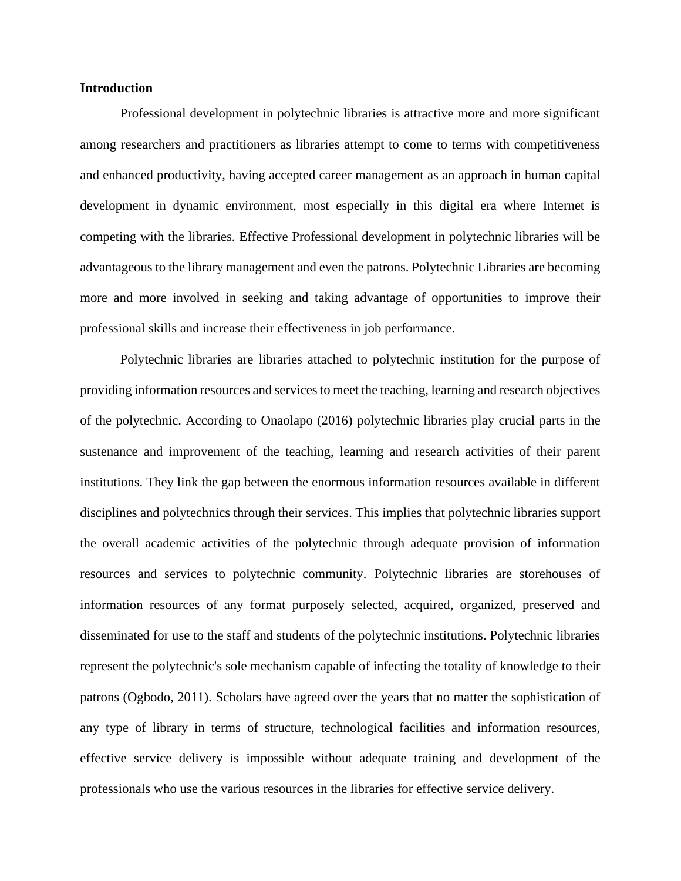#### **Introduction**

Professional development in polytechnic libraries is attractive more and more significant among researchers and practitioners as libraries attempt to come to terms with competitiveness and enhanced productivity, having accepted career management as an approach in human capital development in dynamic environment, most especially in this digital era where Internet is competing with the libraries. Effective Professional development in polytechnic libraries will be advantageous to the library management and even the patrons. Polytechnic Libraries are becoming more and more involved in seeking and taking advantage of opportunities to improve their professional skills and increase their effectiveness in job performance.

Polytechnic libraries are libraries attached to polytechnic institution for the purpose of providing information resources and services to meet the teaching, learning and research objectives of the polytechnic. According to Onaolapo (2016) polytechnic libraries play crucial parts in the sustenance and improvement of the teaching, learning and research activities of their parent institutions. They link the gap between the enormous information resources available in different disciplines and polytechnics through their services. This implies that polytechnic libraries support the overall academic activities of the polytechnic through adequate provision of information resources and services to polytechnic community. Polytechnic libraries are storehouses of information resources of any format purposely selected, acquired, organized, preserved and disseminated for use to the staff and students of the polytechnic institutions. Polytechnic libraries represent the polytechnic's sole mechanism capable of infecting the totality of knowledge to their patrons (Ogbodo, 2011). Scholars have agreed over the years that no matter the sophistication of any type of library in terms of structure, technological facilities and information resources, effective service delivery is impossible without adequate training and development of the professionals who use the various resources in the libraries for effective service delivery.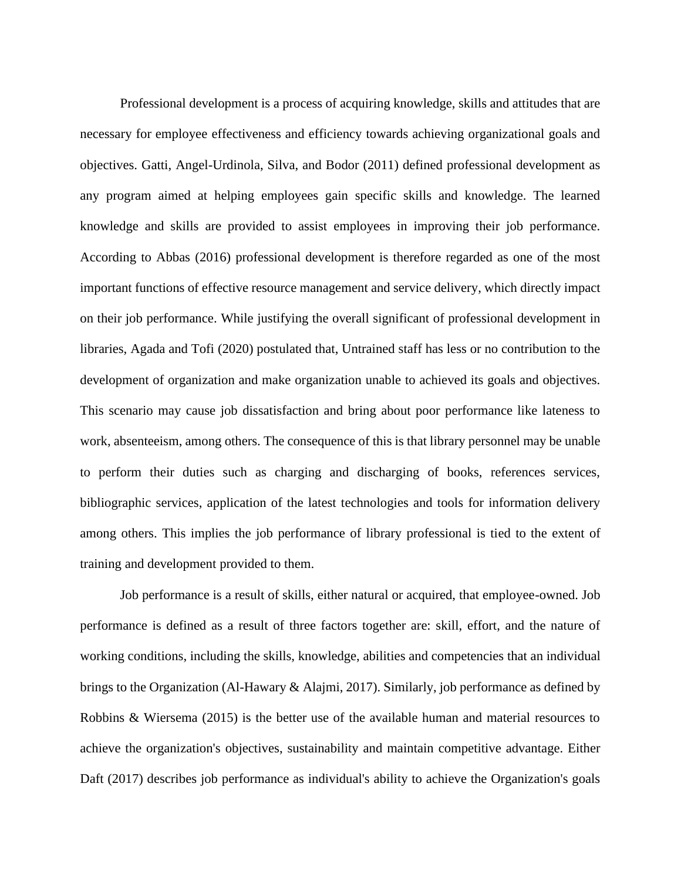Professional development is a process of acquiring knowledge, skills and attitudes that are necessary for employee effectiveness and efficiency towards achieving organizational goals and objectives. Gatti, Angel-Urdinola, Silva, and Bodor (2011) defined professional development as any program aimed at helping employees gain specific skills and knowledge. The learned knowledge and skills are provided to assist employees in improving their job performance. According to Abbas (2016) professional development is therefore regarded as one of the most important functions of effective resource management and service delivery, which directly impact on their job performance. While justifying the overall significant of professional development in libraries, Agada and Tofi (2020) postulated that, Untrained staff has less or no contribution to the development of organization and make organization unable to achieved its goals and objectives. This scenario may cause job dissatisfaction and bring about poor performance like lateness to work, absenteeism, among others. The consequence of this is that library personnel may be unable to perform their duties such as charging and discharging of books, references services, bibliographic services, application of the latest technologies and tools for information delivery among others. This implies the job performance of library professional is tied to the extent of training and development provided to them.

Job performance is a result of skills, either natural or acquired, that employee-owned. Job performance is defined as a result of three factors together are: skill, effort, and the nature of working conditions, including the skills, knowledge, abilities and competencies that an individual brings to the Organization (Al-Hawary & Alajmi, 2017). Similarly, job performance as defined by Robbins & Wiersema (2015) is the better use of the available human and material resources to achieve the organization's objectives, sustainability and maintain competitive advantage. Either Daft (2017) describes job performance as individual's ability to achieve the Organization's goals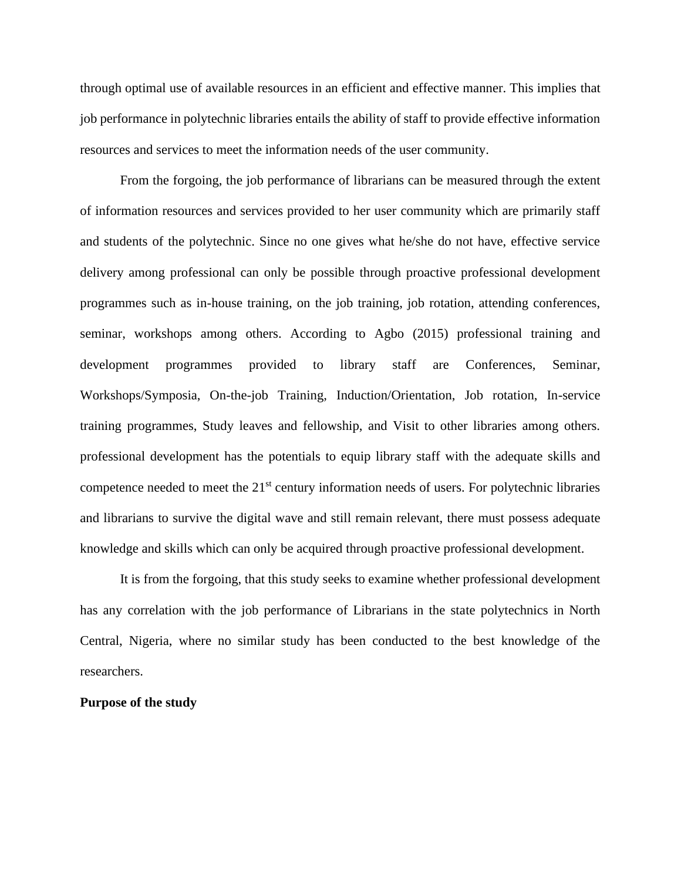through optimal use of available resources in an efficient and effective manner. This implies that job performance in polytechnic libraries entails the ability of staff to provide effective information resources and services to meet the information needs of the user community.

From the forgoing, the job performance of librarians can be measured through the extent of information resources and services provided to her user community which are primarily staff and students of the polytechnic. Since no one gives what he/she do not have, effective service delivery among professional can only be possible through proactive professional development programmes such as in-house training, on the job training, job rotation, attending conferences, seminar, workshops among others. According to Agbo (2015) professional training and development programmes provided to library staff are Conferences, Seminar, Workshops/Symposia, On-the-job Training, Induction/Orientation, Job rotation, In-service training programmes, Study leaves and fellowship, and Visit to other libraries among others. professional development has the potentials to equip library staff with the adequate skills and competence needed to meet the 21<sup>st</sup> century information needs of users. For polytechnic libraries and librarians to survive the digital wave and still remain relevant, there must possess adequate knowledge and skills which can only be acquired through proactive professional development.

It is from the forgoing, that this study seeks to examine whether professional development has any correlation with the job performance of Librarians in the state polytechnics in North Central, Nigeria, where no similar study has been conducted to the best knowledge of the researchers.

#### **Purpose of the study**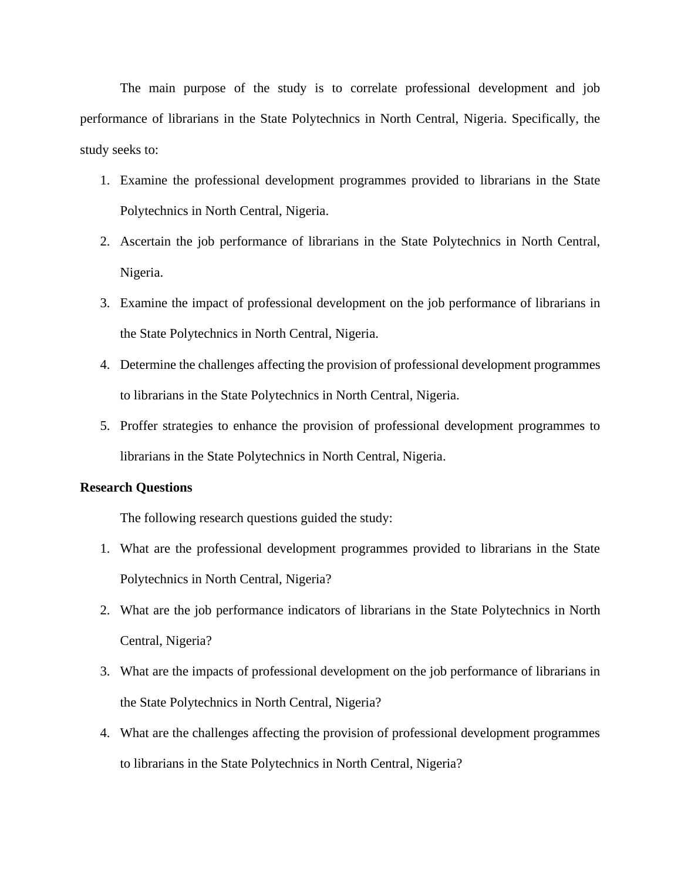The main purpose of the study is to correlate professional development and job performance of librarians in the State Polytechnics in North Central, Nigeria. Specifically, the study seeks to:

- 1. Examine the professional development programmes provided to librarians in the State Polytechnics in North Central, Nigeria.
- 2. Ascertain the job performance of librarians in the State Polytechnics in North Central, Nigeria.
- 3. Examine the impact of professional development on the job performance of librarians in the State Polytechnics in North Central, Nigeria.
- 4. Determine the challenges affecting the provision of professional development programmes to librarians in the State Polytechnics in North Central, Nigeria.
- 5. Proffer strategies to enhance the provision of professional development programmes to librarians in the State Polytechnics in North Central, Nigeria.

#### **Research Questions**

The following research questions guided the study:

- 1. What are the professional development programmes provided to librarians in the State Polytechnics in North Central, Nigeria?
- 2. What are the job performance indicators of librarians in the State Polytechnics in North Central, Nigeria?
- 3. What are the impacts of professional development on the job performance of librarians in the State Polytechnics in North Central, Nigeria?
- 4. What are the challenges affecting the provision of professional development programmes to librarians in the State Polytechnics in North Central, Nigeria?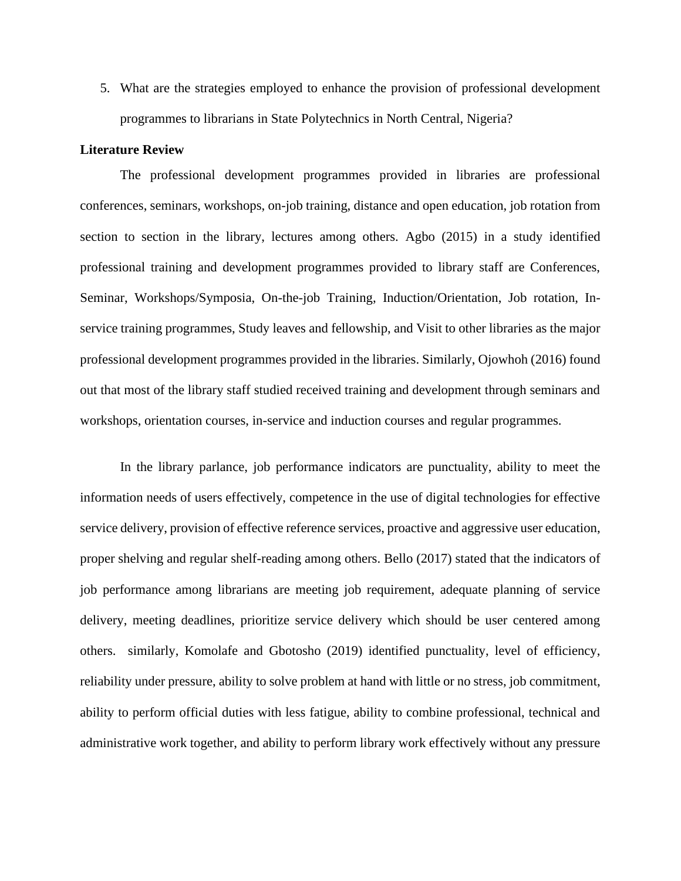5. What are the strategies employed to enhance the provision of professional development programmes to librarians in State Polytechnics in North Central, Nigeria?

#### **Literature Review**

The professional development programmes provided in libraries are professional conferences, seminars, workshops, on-job training, distance and open education, job rotation from section to section in the library, lectures among others. Agbo (2015) in a study identified professional training and development programmes provided to library staff are Conferences, Seminar, Workshops/Symposia, On-the-job Training, Induction/Orientation, Job rotation, Inservice training programmes, Study leaves and fellowship, and Visit to other libraries as the major professional development programmes provided in the libraries. Similarly, Ojowhoh (2016) found out that most of the library staff studied received training and development through seminars and workshops, orientation courses, in-service and induction courses and regular programmes.

In the library parlance, job performance indicators are punctuality, ability to meet the information needs of users effectively, competence in the use of digital technologies for effective service delivery, provision of effective reference services, proactive and aggressive user education, proper shelving and regular shelf-reading among others. Bello (2017) stated that the indicators of job performance among librarians are meeting job requirement, adequate planning of service delivery, meeting deadlines, prioritize service delivery which should be user centered among others. similarly, Komolafe and Gbotosho (2019) identified punctuality, level of efficiency, reliability under pressure, ability to solve problem at hand with little or no stress, job commitment, ability to perform official duties with less fatigue, ability to combine professional, technical and administrative work together, and ability to perform library work effectively without any pressure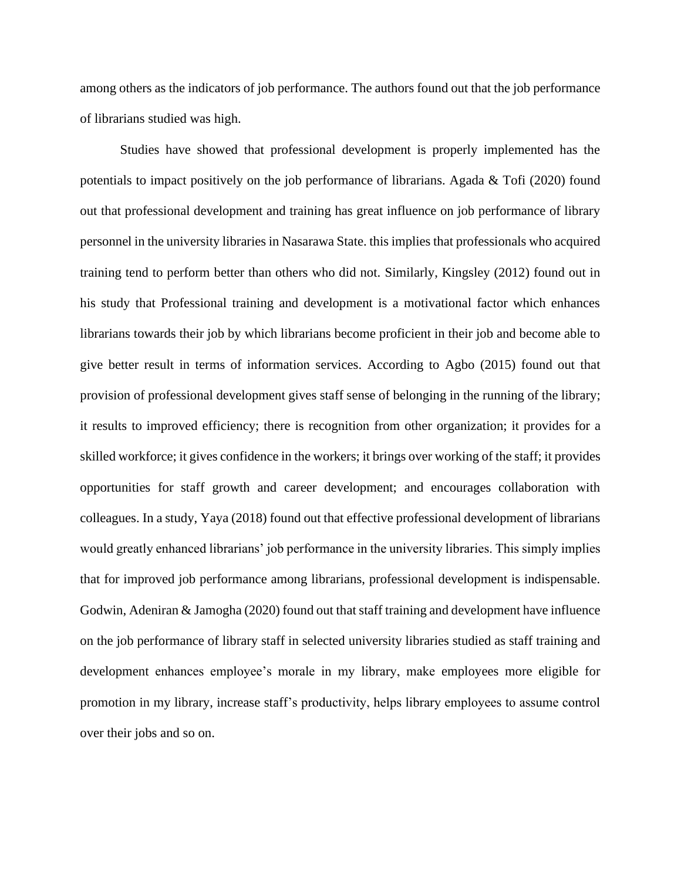among others as the indicators of job performance. The authors found out that the job performance of librarians studied was high.

Studies have showed that professional development is properly implemented has the potentials to impact positively on the job performance of librarians. Agada & Tofi (2020) found out that professional development and training has great influence on job performance of library personnel in the university libraries in Nasarawa State. this implies that professionals who acquired training tend to perform better than others who did not. Similarly, Kingsley (2012) found out in his study that Professional training and development is a motivational factor which enhances librarians towards their job by which librarians become proficient in their job and become able to give better result in terms of information services. According to Agbo (2015) found out that provision of professional development gives staff sense of belonging in the running of the library; it results to improved efficiency; there is recognition from other organization; it provides for a skilled workforce; it gives confidence in the workers; it brings over working of the staff; it provides opportunities for staff growth and career development; and encourages collaboration with colleagues. In a study, Yaya (2018) found out that effective professional development of librarians would greatly enhanced librarians' job performance in the university libraries. This simply implies that for improved job performance among librarians, professional development is indispensable. Godwin, Adeniran & Jamogha (2020) found out that staff training and development have influence on the job performance of library staff in selected university libraries studied as staff training and development enhances employee's morale in my library, make employees more eligible for promotion in my library, increase staff's productivity, helps library employees to assume control over their jobs and so on.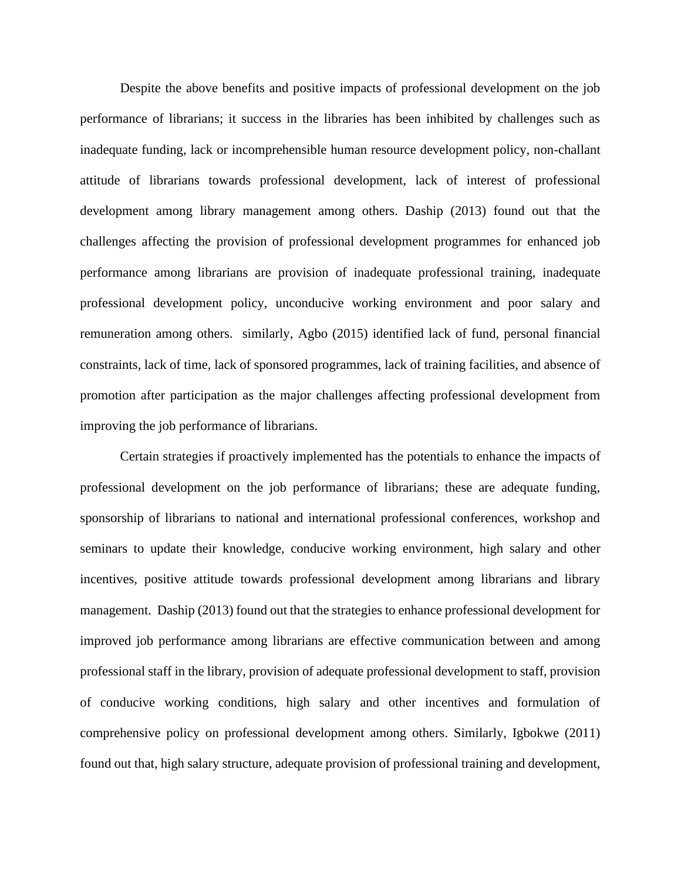Despite the above benefits and positive impacts of professional development on the job performance of librarians; it success in the libraries has been inhibited by challenges such as inadequate funding, lack or incomprehensible human resource development policy, non-challant attitude of librarians towards professional development, lack of interest of professional development among library management among others. Daship (2013) found out that the challenges affecting the provision of professional development programmes for enhanced job performance among librarians are provision of inadequate professional training, inadequate professional development policy, unconducive working environment and poor salary and remuneration among others. similarly, Agbo (2015) identified lack of fund, personal financial constraints, lack of time, lack of sponsored programmes, lack of training facilities, and absence of promotion after participation as the major challenges affecting professional development from improving the job performance of librarians.

Certain strategies if proactively implemented has the potentials to enhance the impacts of professional development on the job performance of librarians; these are adequate funding, sponsorship of librarians to national and international professional conferences, workshop and seminars to update their knowledge, conducive working environment, high salary and other incentives, positive attitude towards professional development among librarians and library management. Daship (2013) found out that the strategies to enhance professional development for improved job performance among librarians are effective communication between and among professional staff in the library, provision of adequate professional development to staff, provision of conducive working conditions, high salary and other incentives and formulation of comprehensive policy on professional development among others. Similarly, Igbokwe (2011) found out that, high salary structure, adequate provision of professional training and development,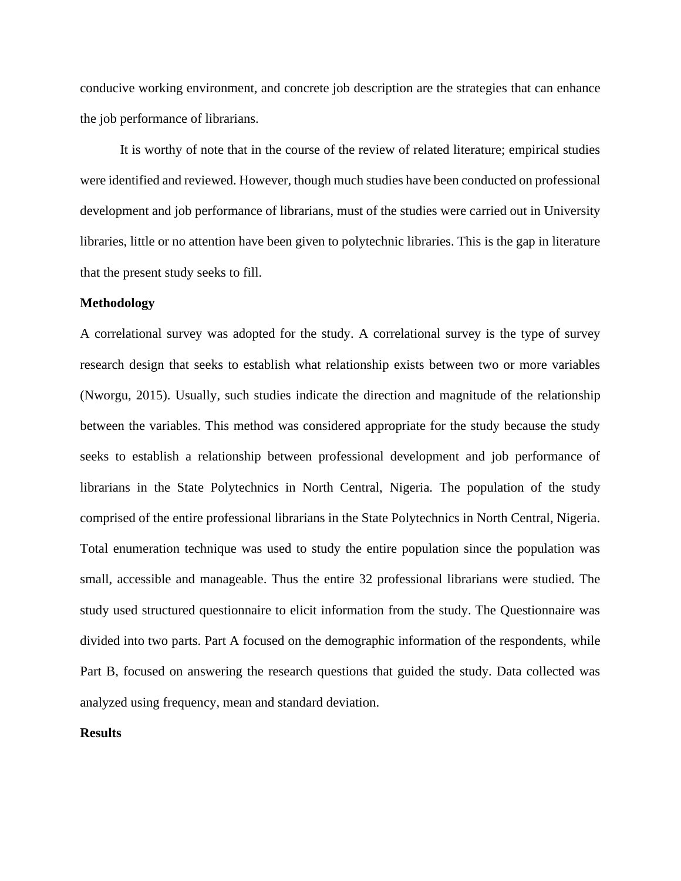conducive working environment, and concrete job description are the strategies that can enhance the job performance of librarians.

It is worthy of note that in the course of the review of related literature; empirical studies were identified and reviewed. However, though much studies have been conducted on professional development and job performance of librarians, must of the studies were carried out in University libraries, little or no attention have been given to polytechnic libraries. This is the gap in literature that the present study seeks to fill.

#### **Methodology**

A correlational survey was adopted for the study. A correlational survey is the type of survey research design that seeks to establish what relationship exists between two or more variables (Nworgu, 2015). Usually, such studies indicate the direction and magnitude of the relationship between the variables. This method was considered appropriate for the study because the study seeks to establish a relationship between professional development and job performance of librarians in the State Polytechnics in North Central, Nigeria. The population of the study comprised of the entire professional librarians in the State Polytechnics in North Central, Nigeria. Total enumeration technique was used to study the entire population since the population was small, accessible and manageable. Thus the entire 32 professional librarians were studied. The study used structured questionnaire to elicit information from the study. The Questionnaire was divided into two parts. Part A focused on the demographic information of the respondents, while Part B, focused on answering the research questions that guided the study. Data collected was analyzed using frequency, mean and standard deviation.

#### **Results**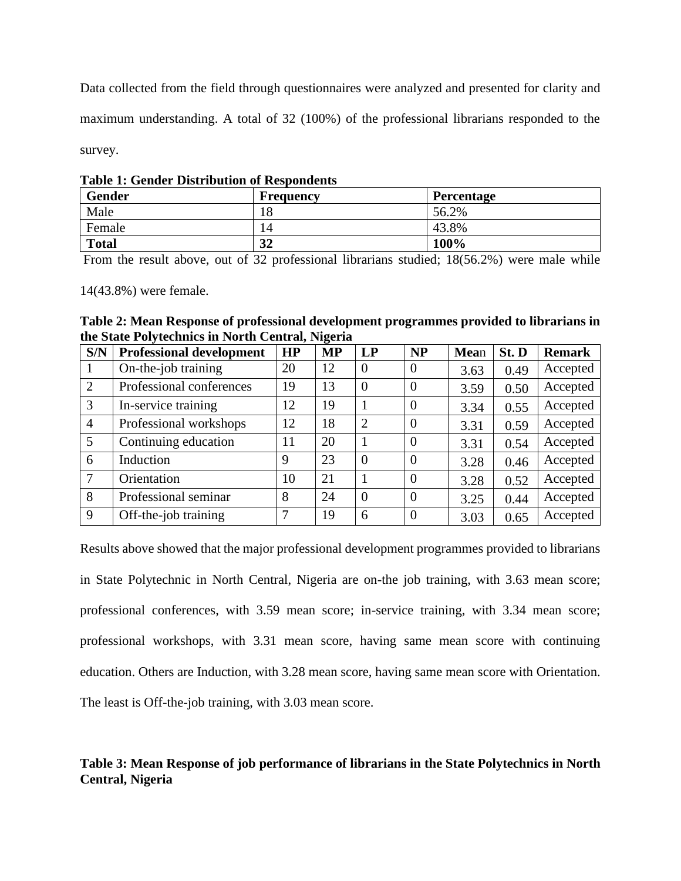Data collected from the field through questionnaires were analyzed and presented for clarity and maximum understanding. A total of 32 (100%) of the professional librarians responded to the survey.

|  |  | <b>Table 1: Gender Distribution of Respondents</b> |  |  |
|--|--|----------------------------------------------------|--|--|
|--|--|----------------------------------------------------|--|--|

| <b>Gender</b> | Frequency | <b>Percentage</b> |
|---------------|-----------|-------------------|
| Male          | 18        | 56.2%             |
| Female        | 14        | 43.8%             |
| <b>Total</b>  | 32        | 100%              |

From the result above, out of 32 professional librarians studied; 18(56.2%) were male while

14(43.8%) were female.

**Table 2: Mean Response of professional development programmes provided to librarians in the State Polytechnics in North Central, Nigeria**

| S/N            | <b>Professional development</b> | <b>HP</b> | ັ<br><b>MP</b> | LP             | <b>NP</b>      | Mean | St. D | <b>Remark</b> |
|----------------|---------------------------------|-----------|----------------|----------------|----------------|------|-------|---------------|
|                | On-the-job training             | 20        | 12             | $\overline{0}$ | $\overline{0}$ | 3.63 | 0.49  | Accepted      |
| $\overline{2}$ | Professional conferences        | 19        | 13             | $\theta$       | $\overline{0}$ | 3.59 | 0.50  | Accepted      |
| 3              | In-service training             | 12        | 19             |                | $\overline{0}$ | 3.34 | 0.55  | Accepted      |
| $\overline{4}$ | Professional workshops          | 12        | 18             | $\overline{2}$ | $\overline{0}$ | 3.31 | 0.59  | Accepted      |
| 5              | Continuing education            | 11        | 20             |                | $\overline{0}$ | 3.31 | 0.54  | Accepted      |
| 6              | Induction                       | 9         | 23             | $\theta$       | $\overline{0}$ | 3.28 | 0.46  | Accepted      |
|                | Orientation                     | 10        | 21             |                | $\theta$       | 3.28 | 0.52  | Accepted      |
| 8              | Professional seminar            | 8         | 24             | $\theta$       | $\overline{0}$ | 3.25 | 0.44  | Accepted      |
| 9              | Off-the-job training            | 7         | 19             | 6              | $\Omega$       | 3.03 | 0.65  | Accepted      |

Results above showed that the major professional development programmes provided to librarians in State Polytechnic in North Central, Nigeria are on-the job training, with 3.63 mean score; professional conferences, with 3.59 mean score; in-service training, with 3.34 mean score; professional workshops, with 3.31 mean score, having same mean score with continuing education. Others are Induction, with 3.28 mean score, having same mean score with Orientation. The least is Off-the-job training, with 3.03 mean score.

# **Table 3: Mean Response of job performance of librarians in the State Polytechnics in North Central, Nigeria**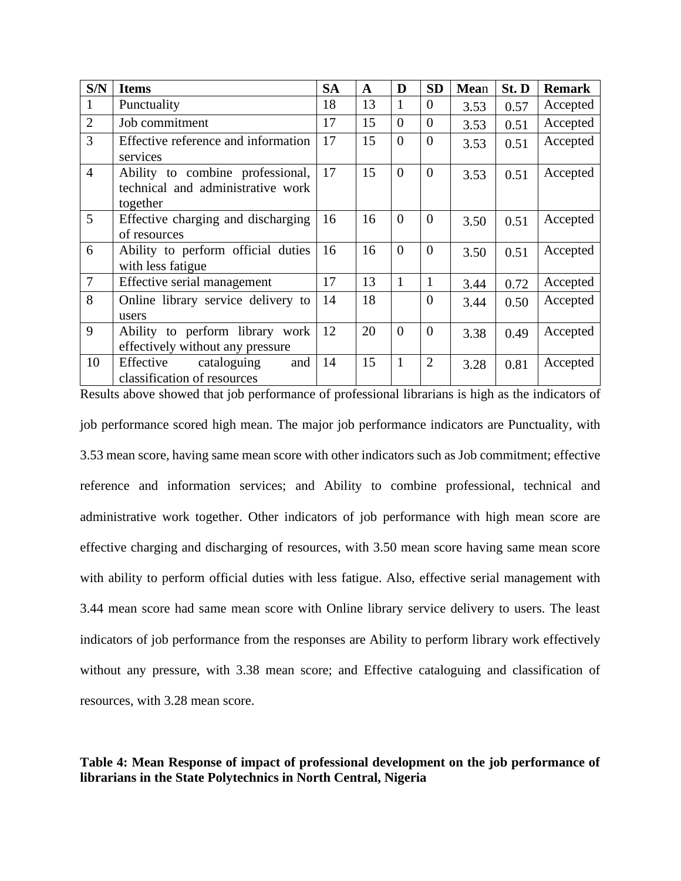| S/N            | <b>Items</b>                                                                      | <b>SA</b> | A  | D              | <b>SD</b>      | Mean | St. D | <b>Remark</b> |
|----------------|-----------------------------------------------------------------------------------|-----------|----|----------------|----------------|------|-------|---------------|
| $\mathbf{1}$   | Punctuality                                                                       | 18        | 13 | $\mathbf{1}$   | $\overline{0}$ | 3.53 | 0.57  | Accepted      |
| $\overline{2}$ | Job commitment                                                                    | 17        | 15 | $\theta$       | $\overline{0}$ | 3.53 | 0.51  | Accepted      |
| $\overline{3}$ | Effective reference and information<br>services                                   | 17        | 15 | $\overline{0}$ | $\overline{0}$ | 3.53 | 0.51  | Accepted      |
| $\overline{4}$ | Ability to combine professional,<br>technical and administrative work<br>together | 17        | 15 | $\overline{0}$ | $\overline{0}$ | 3.53 | 0.51  | Accepted      |
| 5              | Effective charging and discharging<br>of resources                                | 16        | 16 | $\overline{0}$ | $\overline{0}$ | 3.50 | 0.51  | Accepted      |
| 6              | Ability to perform official duties<br>with less fatigue                           | 16        | 16 | $\overline{0}$ | $\overline{0}$ | 3.50 | 0.51  | Accepted      |
| $\overline{7}$ | Effective serial management                                                       | 17        | 13 | $\mathbf{1}$   | $\mathbf{1}$   | 3.44 | 0.72  | Accepted      |
| 8              | Online library service delivery to<br>users                                       | 14        | 18 |                | $\overline{0}$ | 3.44 | 0.50  | Accepted      |
| 9              | Ability to perform library work<br>effectively without any pressure               | 12        | 20 | $\overline{0}$ | $\overline{0}$ | 3.38 | 0.49  | Accepted      |
| 10             | Effective<br>cataloguing<br>and<br>classification of resources                    | 14        | 15 | $\mathbf{1}$   | $\overline{2}$ | 3.28 | 0.81  | Accepted      |

Results above showed that job performance of professional librarians is high as the indicators of job performance scored high mean. The major job performance indicators are Punctuality, with 3.53 mean score, having same mean score with other indicators such as Job commitment; effective reference and information services; and Ability to combine professional, technical and administrative work together. Other indicators of job performance with high mean score are effective charging and discharging of resources, with 3.50 mean score having same mean score with ability to perform official duties with less fatigue. Also, effective serial management with 3.44 mean score had same mean score with Online library service delivery to users. The least indicators of job performance from the responses are Ability to perform library work effectively without any pressure, with 3.38 mean score; and Effective cataloguing and classification of resources, with 3.28 mean score.

# **Table 4: Mean Response of impact of professional development on the job performance of librarians in the State Polytechnics in North Central, Nigeria**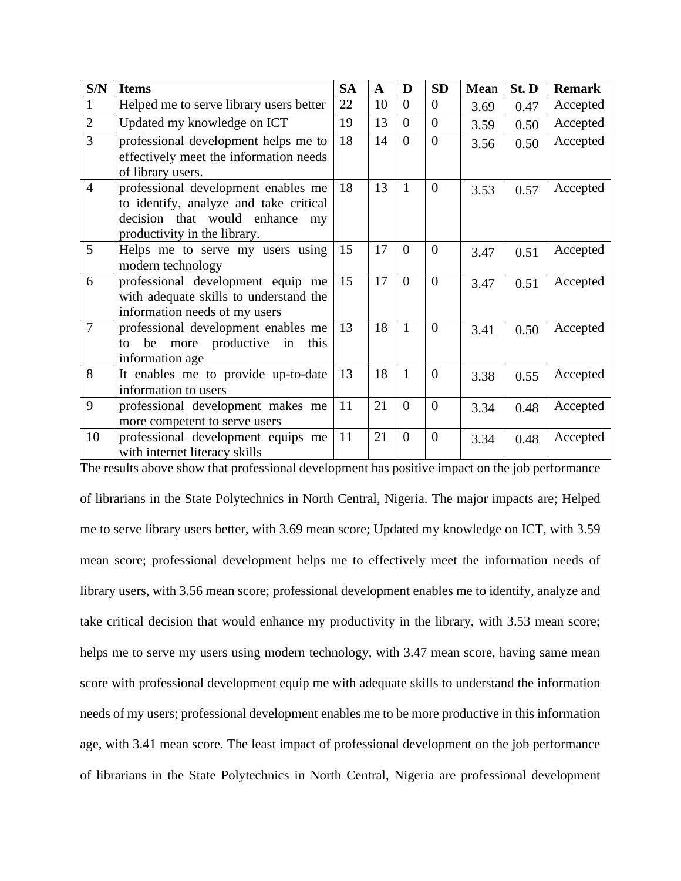| S/N            | <b>Items</b>                                                                                                                                       | <b>SA</b> | $\mathbf A$ | D              | <b>SD</b>      | Mean | St. D | <b>Remark</b> |
|----------------|----------------------------------------------------------------------------------------------------------------------------------------------------|-----------|-------------|----------------|----------------|------|-------|---------------|
| 1              | Helped me to serve library users better                                                                                                            | 22        | 10          | $\theta$       | $\overline{0}$ | 3.69 | 0.47  | Accepted      |
| $\overline{2}$ | Updated my knowledge on ICT                                                                                                                        | 19        | 13          | $\overline{0}$ | $\overline{0}$ | 3.59 | 0.50  | Accepted      |
| 3              | professional development helps me to<br>effectively meet the information needs<br>of library users.                                                | 18        | 14          | $\overline{0}$ | $\overline{0}$ | 3.56 | 0.50  | Accepted      |
| $\overline{4}$ | professional development enables me<br>to identify, analyze and take critical<br>decision that would enhance<br>my<br>productivity in the library. | 18        | 13          | 1              | $\overline{0}$ | 3.53 | 0.57  | Accepted      |
| 5              | Helps me to serve my users using<br>modern technology                                                                                              | 15        | 17          | $\overline{0}$ | $\overline{0}$ | 3.47 | 0.51  | Accepted      |
| 6              | professional development equip me<br>with adequate skills to understand the<br>information needs of my users                                       | 15        | 17          | $\overline{0}$ | $\overline{0}$ | 3.47 | 0.51  | Accepted      |
| $\overline{7}$ | professional development enables me<br>productive<br>be<br>more<br>in<br>this<br>to<br>information age                                             | 13        | 18          | $\mathbf{1}$   | $\theta$       | 3.41 | 0.50  | Accepted      |
| 8              | It enables me to provide up-to-date<br>information to users                                                                                        | 13        | 18          | $\mathbf{1}$   | $\overline{0}$ | 3.38 | 0.55  | Accepted      |
| 9              | professional development makes me<br>more competent to serve users                                                                                 | 11        | 21          | $\theta$       | $\theta$       | 3.34 | 0.48  | Accepted      |
| 10             | professional development equips me<br>with internet literacy skills                                                                                | 11        | 21          | $\theta$       | $\overline{0}$ | 3.34 | 0.48  | Accepted      |

The results above show that professional development has positive impact on the job performance of librarians in the State Polytechnics in North Central, Nigeria. The major impacts are; Helped me to serve library users better, with 3.69 mean score; Updated my knowledge on ICT, with 3.59 mean score; professional development helps me to effectively meet the information needs of library users, with 3.56 mean score; professional development enables me to identify, analyze and take critical decision that would enhance my productivity in the library, with 3.53 mean score; helps me to serve my users using modern technology, with 3.47 mean score, having same mean score with professional development equip me with adequate skills to understand the information needs of my users; professional development enables me to be more productive in this information age, with 3.41 mean score. The least impact of professional development on the job performance of librarians in the State Polytechnics in North Central, Nigeria are professional development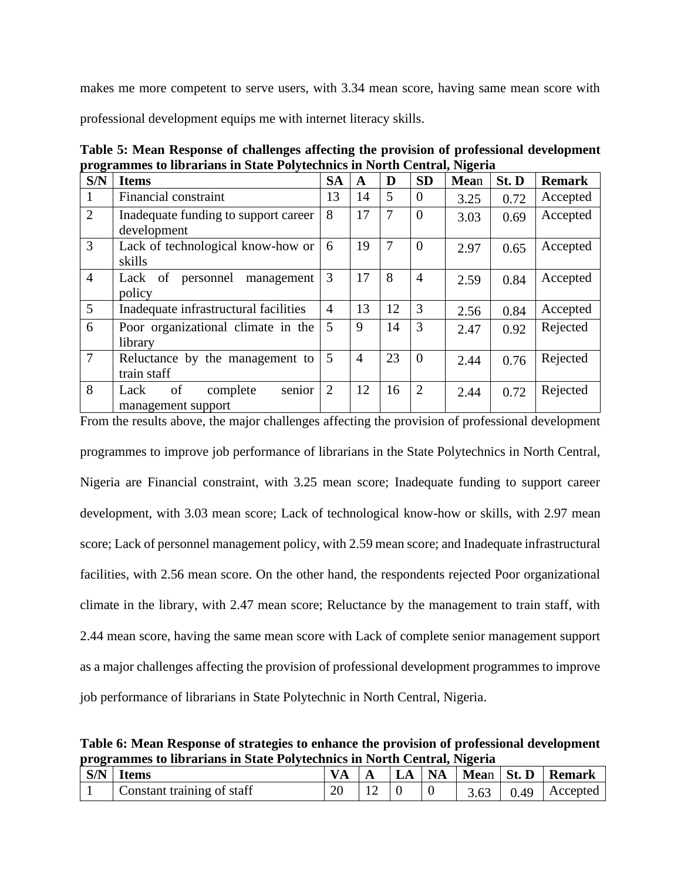makes me more competent to serve users, with 3.34 mean score, having same mean score with

professional development equips me with internet literacy skills.

**Table 5: Mean Response of challenges affecting the provision of professional development programmes to librarians in State Polytechnics in North Central, Nigeria**

| S/N            | <b>Items</b>                                           | <b>SA</b>      | A              | D              | <b>SD</b>      | Mean | St. D | <b>Remark</b> |
|----------------|--------------------------------------------------------|----------------|----------------|----------------|----------------|------|-------|---------------|
|                | Financial constraint                                   | 13             | 14             | 5              | $\Omega$       | 3.25 | 0.72  | Accepted      |
| 2              | Inadequate funding to support career<br>development    | 8              | 17             | $\overline{7}$ | $\Omega$       | 3.03 | 0.69  | Accepted      |
| $\overline{3}$ | Lack of technological know-how or<br>skills            | 6              | 19             |                | $\Omega$       | 2.97 | 0.65  | Accepted      |
| $\overline{4}$ | personnel management<br>Lack<br>of<br>policy           | 3              | 17             | 8              | 4              | 2.59 | 0.84  | Accepted      |
| 5              | Inadequate infrastructural facilities                  | $\overline{4}$ | 13             | 12             | 3              | 2.56 | 0.84  | Accepted      |
| 6              | Poor organizational climate in the<br>library          | 5              | 9              | 14             | 3              | 2.47 | 0.92  | Rejected      |
| $\overline{7}$ | Reluctance by the management to<br>train staff         | 5              | $\overline{4}$ | 23             | $\Omega$       | 2.44 | 0.76  | Rejected      |
| 8              | senior<br>of<br>complete<br>Lack<br>management support | $\overline{2}$ | 12             | 16             | $\overline{2}$ | 2.44 | 0.72  | Rejected      |

From the results above, the major challenges affecting the provision of professional development programmes to improve job performance of librarians in the State Polytechnics in North Central, Nigeria are Financial constraint, with 3.25 mean score; Inadequate funding to support career development, with 3.03 mean score; Lack of technological know-how or skills, with 2.97 mean score; Lack of personnel management policy, with 2.59 mean score; and Inadequate infrastructural facilities, with 2.56 mean score. On the other hand, the respondents rejected Poor organizational climate in the library, with 2.47 mean score; Reluctance by the management to train staff, with 2.44 mean score, having the same mean score with Lack of complete senior management support as a major challenges affecting the provision of professional development programmes to improve job performance of librarians in State Polytechnic in North Central, Nigeria.

**Table 6: Mean Response of strategies to enhance the provision of professional development programmes to librarians in State Polytechnics in North Central, Nigeria**

| $\vert$ S/N $\vert$ | <b>Items</b>               |    | LLA | <b>NA</b> | Mean St. D | Remark                   |
|---------------------|----------------------------|----|-----|-----------|------------|--------------------------|
|                     | Constant training of staff | 20 |     |           |            | $3.63$   0.49   Accepted |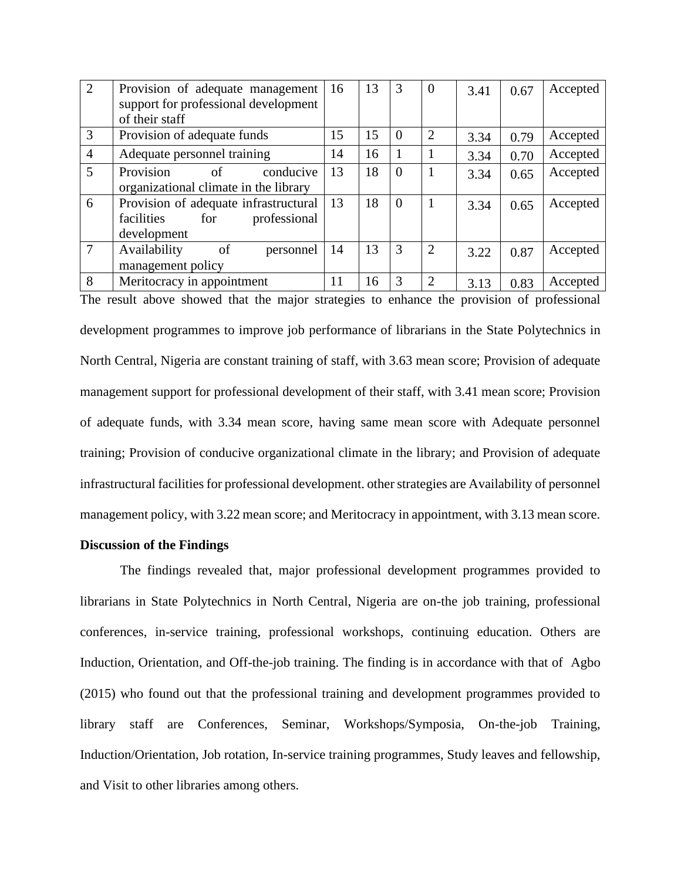| 2              | Provision of adequate management<br>support for professional development                  | 16 | 13 | 3        | $\theta$ | 3.41 | 0.67 | Accepted |
|----------------|-------------------------------------------------------------------------------------------|----|----|----------|----------|------|------|----------|
|                | of their staff                                                                            |    |    |          |          |      |      |          |
| 3              | Provision of adequate funds                                                               | 15 | 15 | $\Omega$ | 2        | 3.34 | 0.79 | Accepted |
| $\overline{4}$ | Adequate personnel training                                                               | 14 | 16 |          |          | 3.34 | 0.70 | Accepted |
| $\mathfrak{H}$ | Provision<br>of<br>conducive<br>organizational climate in the library                     | 13 | 18 | $\Omega$ |          | 3.34 | 0.65 | Accepted |
| 6              | Provision of adequate infrastructural<br>facilities<br>professional<br>for<br>development | 13 | 18 | $\Omega$ | 1        | 3.34 | 0.65 | Accepted |
| 7              | Availability<br>of<br>personnel<br>management policy                                      | 14 | 13 | 3        | 2        | 3.22 | 0.87 | Accepted |
| 8              | Meritocracy in appointment                                                                | 11 | 16 | 3        | 2        | 3.13 | 0.83 | Accepted |

The result above showed that the major strategies to enhance the provision of professional development programmes to improve job performance of librarians in the State Polytechnics in North Central, Nigeria are constant training of staff, with 3.63 mean score; Provision of adequate management support for professional development of their staff, with 3.41 mean score; Provision of adequate funds, with 3.34 mean score, having same mean score with Adequate personnel training; Provision of conducive organizational climate in the library; and Provision of adequate infrastructural facilities for professional development. other strategies are Availability of personnel management policy, with 3.22 mean score; and Meritocracy in appointment, with 3.13 mean score.

# **Discussion of the Findings**

The findings revealed that, major professional development programmes provided to librarians in State Polytechnics in North Central, Nigeria are on-the job training, professional conferences, in-service training, professional workshops, continuing education. Others are Induction, Orientation, and Off-the-job training. The finding is in accordance with that of Agbo (2015) who found out that the professional training and development programmes provided to library staff are Conferences, Seminar, Workshops/Symposia, On-the-job Training, Induction/Orientation, Job rotation, In-service training programmes, Study leaves and fellowship, and Visit to other libraries among others.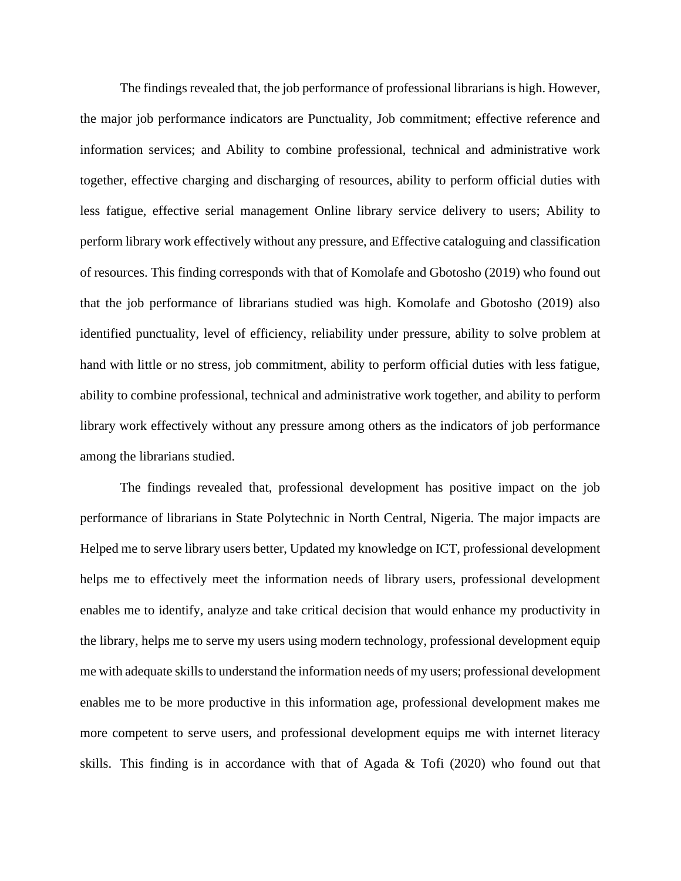The findings revealed that, the job performance of professional librarians is high. However, the major job performance indicators are Punctuality, Job commitment; effective reference and information services; and Ability to combine professional, technical and administrative work together, effective charging and discharging of resources, ability to perform official duties with less fatigue, effective serial management Online library service delivery to users; Ability to perform library work effectively without any pressure, and Effective cataloguing and classification of resources. This finding corresponds with that of Komolafe and Gbotosho (2019) who found out that the job performance of librarians studied was high. Komolafe and Gbotosho (2019) also identified punctuality, level of efficiency, reliability under pressure, ability to solve problem at hand with little or no stress, job commitment, ability to perform official duties with less fatigue, ability to combine professional, technical and administrative work together, and ability to perform library work effectively without any pressure among others as the indicators of job performance among the librarians studied.

The findings revealed that, professional development has positive impact on the job performance of librarians in State Polytechnic in North Central, Nigeria. The major impacts are Helped me to serve library users better, Updated my knowledge on ICT, professional development helps me to effectively meet the information needs of library users, professional development enables me to identify, analyze and take critical decision that would enhance my productivity in the library, helps me to serve my users using modern technology, professional development equip me with adequate skills to understand the information needs of my users; professional development enables me to be more productive in this information age, professional development makes me more competent to serve users, and professional development equips me with internet literacy skills. This finding is in accordance with that of Agada & Tofi (2020) who found out that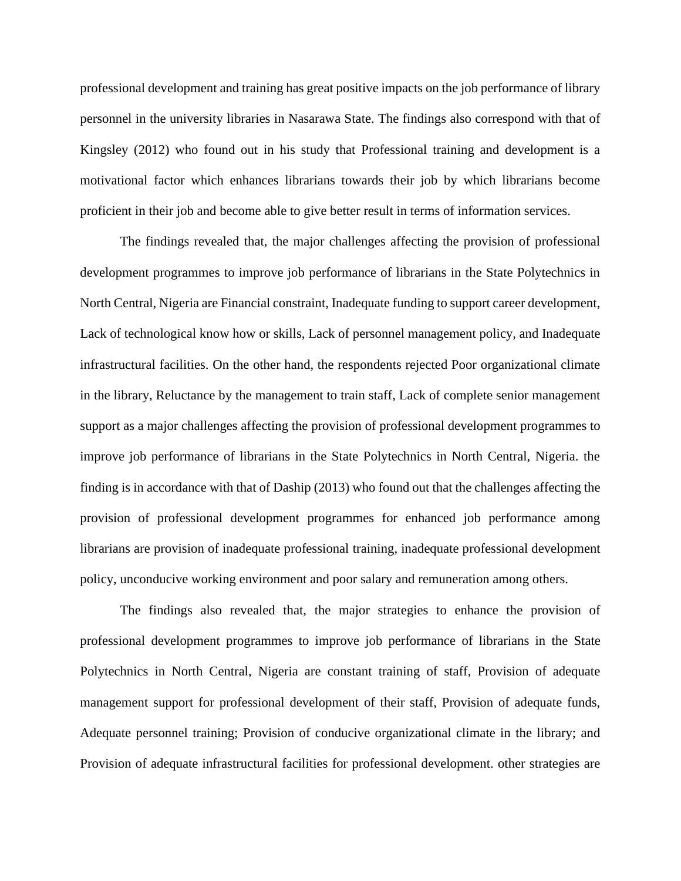professional development and training has great positive impacts on the job performance of library personnel in the university libraries in Nasarawa State. The findings also correspond with that of Kingsley (2012) who found out in his study that Professional training and development is a motivational factor which enhances librarians towards their job by which librarians become proficient in their job and become able to give better result in terms of information services.

The findings revealed that, the major challenges affecting the provision of professional development programmes to improve job performance of librarians in the State Polytechnics in North Central, Nigeria are Financial constraint, Inadequate funding to support career development, Lack of technological know how or skills, Lack of personnel management policy, and Inadequate infrastructural facilities. On the other hand, the respondents rejected Poor organizational climate in the library, Reluctance by the management to train staff, Lack of complete senior management support as a major challenges affecting the provision of professional development programmes to improve job performance of librarians in the State Polytechnics in North Central, Nigeria. the finding is in accordance with that of Daship (2013) who found out that the challenges affecting the provision of professional development programmes for enhanced job performance among librarians are provision of inadequate professional training, inadequate professional development policy, unconducive working environment and poor salary and remuneration among others.

The findings also revealed that, the major strategies to enhance the provision of professional development programmes to improve job performance of librarians in the State Polytechnics in North Central, Nigeria are constant training of staff, Provision of adequate management support for professional development of their staff, Provision of adequate funds, Adequate personnel training; Provision of conducive organizational climate in the library; and Provision of adequate infrastructural facilities for professional development. other strategies are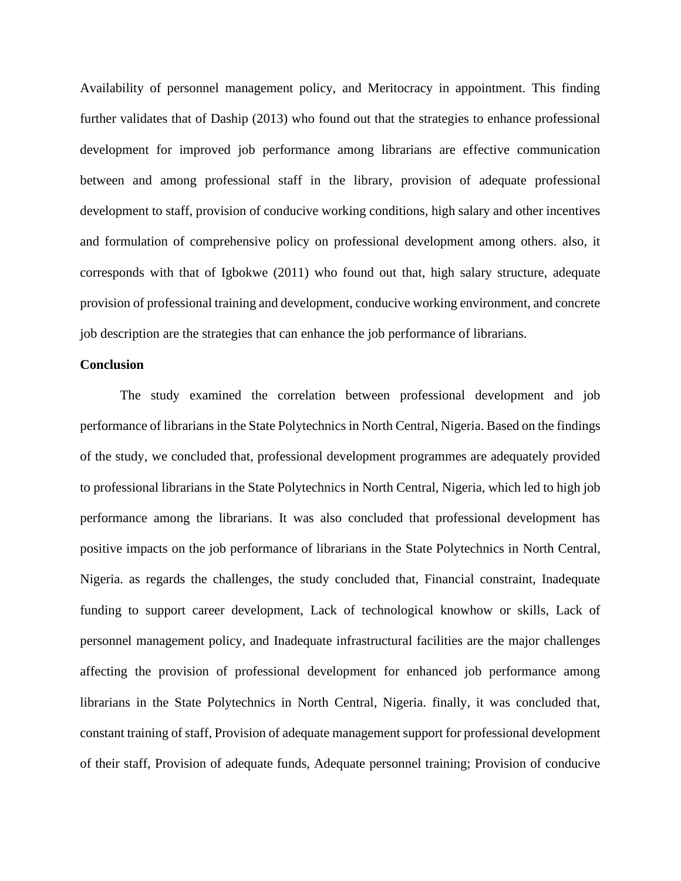Availability of personnel management policy, and Meritocracy in appointment. This finding further validates that of Daship (2013) who found out that the strategies to enhance professional development for improved job performance among librarians are effective communication between and among professional staff in the library, provision of adequate professional development to staff, provision of conducive working conditions, high salary and other incentives and formulation of comprehensive policy on professional development among others. also, it corresponds with that of Igbokwe (2011) who found out that, high salary structure, adequate provision of professional training and development, conducive working environment, and concrete job description are the strategies that can enhance the job performance of librarians.

#### **Conclusion**

The study examined the correlation between professional development and job performance of librarians in the State Polytechnics in North Central, Nigeria. Based on the findings of the study, we concluded that, professional development programmes are adequately provided to professional librarians in the State Polytechnics in North Central, Nigeria, which led to high job performance among the librarians. It was also concluded that professional development has positive impacts on the job performance of librarians in the State Polytechnics in North Central, Nigeria. as regards the challenges, the study concluded that, Financial constraint, Inadequate funding to support career development, Lack of technological knowhow or skills, Lack of personnel management policy, and Inadequate infrastructural facilities are the major challenges affecting the provision of professional development for enhanced job performance among librarians in the State Polytechnics in North Central, Nigeria. finally, it was concluded that, constant training of staff, Provision of adequate management support for professional development of their staff, Provision of adequate funds, Adequate personnel training; Provision of conducive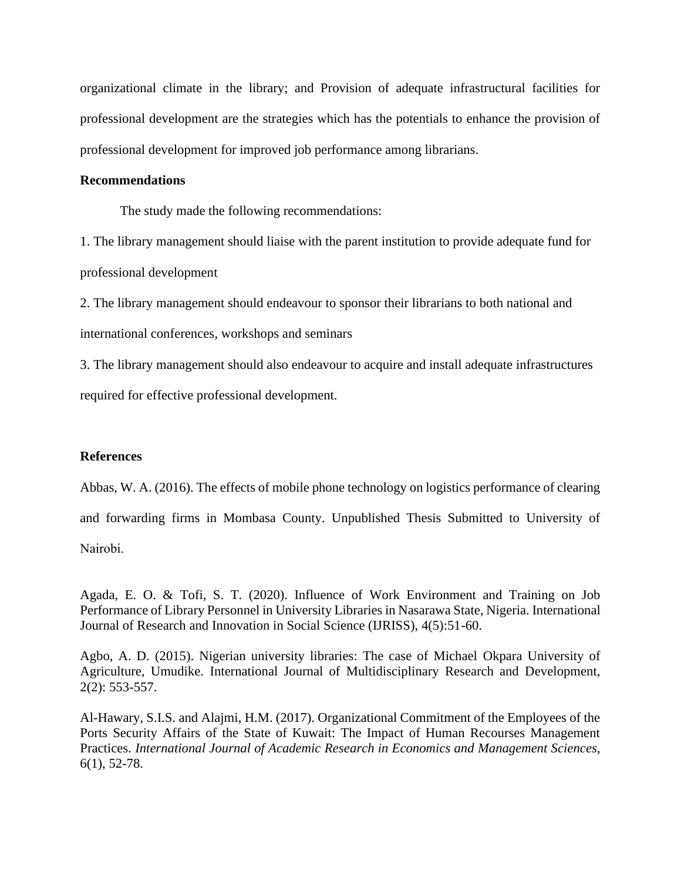organizational climate in the library; and Provision of adequate infrastructural facilities for professional development are the strategies which has the potentials to enhance the provision of professional development for improved job performance among librarians.

### **Recommendations**

The study made the following recommendations:

1. The library management should liaise with the parent institution to provide adequate fund for professional development

2. The library management should endeavour to sponsor their librarians to both national and international conferences, workshops and seminars

3. The library management should also endeavour to acquire and install adequate infrastructures required for effective professional development.

# **References**

Abbas, W. A. (2016). The effects of mobile phone technology on logistics performance of clearing

and forwarding firms in Mombasa County. Unpublished Thesis Submitted to University of

Nаirobi.

Agada, E. O. & Tofi, S. T. (2020). Influence of Work Environment and Training on Job Performance of Library Personnel in University Libraries in Nasarawa State, Nigeria. International Journal of Research and Innovation in Social Science (IJRISS), 4(5):51-60.

Agbo, A. D. (2015). Nigerian university libraries: The case of Michael Okpara University of Agriculture, Umudike. International Journal of Multidisciplinary Research and Development, 2(2): 553-557.

Al-Hawary, S.I.S. and Alajmi, H.M. (2017). Organizational Commitment of the Employees of the Ports Security Affairs of the State of Kuwait: The Impact of Human Recourses Management Practices. *International Journal of Academic Research in Economics and Management Sciences,*  6(1), 52-78.